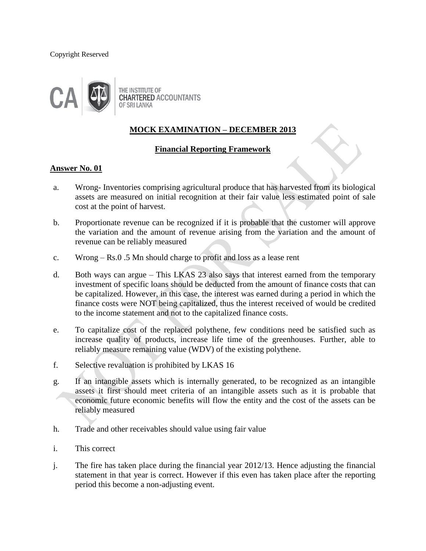#### Copyright Reserved



# **MOCK EXAMINATION – DECEMBER 2013**

# **Financial Reporting Framework**

### **Answer No. 01**

- a. Wrong- Inventories comprising agricultural produce that has harvested from its biological assets are measured on initial recognition at their fair value less estimated point of sale cost at the point of harvest.
- b. Proportionate revenue can be recognized if it is probable that the customer will approve the variation and the amount of revenue arising from the variation and the amount of revenue can be reliably measured
- c. Wrong Rs.0 .5 Mn should charge to profit and loss as a lease rent
- d. Both ways can argue This LKAS 23 also says that interest earned from the temporary investment of specific loans should be deducted from the amount of finance costs that can be capitalized. However, in this case, the interest was earned during a period in which the finance costs were NOT being capitalized, thus the interest received of would be credited to the income statement and not to the capitalized finance costs.
- e. To capitalize cost of the replaced polythene, few conditions need be satisfied such as increase quality of products, increase life time of the greenhouses. Further, able to reliably measure remaining value (WDV) of the existing polythene.
- f. Selective revaluation is prohibited by LKAS 16
- g. If an intangible assets which is internally generated, to be recognized as an intangible assets it first should meet criteria of an intangible assets such as it is probable that economic future economic benefits will flow the entity and the cost of the assets can be reliably measured
- h. Trade and other receivables should value using fair value
- i. This correct
- j. The fire has taken place during the financial year 2012/13. Hence adjusting the financial statement in that year is correct. However if this even has taken place after the reporting period this become a non-adjusting event.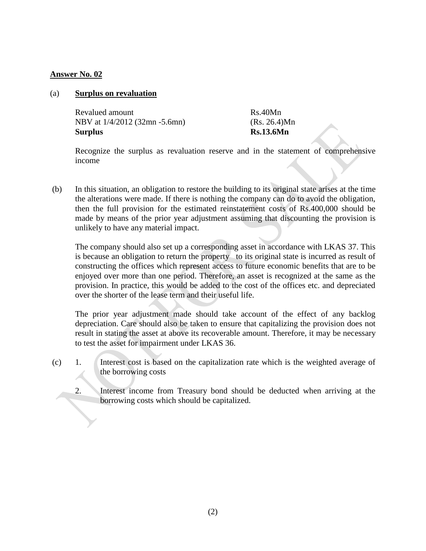### (a) **Surplus on revaluation**

| Surplus                       | <b>Rs.13.6Mn</b> |
|-------------------------------|------------------|
| NBV at 1/4/2012 (32mn -5.6mn) | (Rs. 26.4)Mn     |
| Revalued amount               | Rs.40Mn          |

Recognize the surplus as revaluation reserve and in the statement of comprehensive income

(b) In this situation, an obligation to restore the building to its original state arises at the time the alterations were made. If there is nothing the company can do to avoid the obligation, then the full provision for the estimated reinstatement costs of Rs.400,000 should be made by means of the prior year adjustment assuming that discounting the provision is unlikely to have any material impact.

The company should also set up a corresponding asset in accordance with LKAS 37. This is because an obligation to return the property to its original state is incurred as result of constructing the offices which represent access to future economic benefits that are to be enjoyed over more than one period. Therefore, an asset is recognized at the same as the provision. In practice, this would be added to the cost of the offices etc. and depreciated over the shorter of the lease term and their useful life.

The prior year adjustment made should take account of the effect of any backlog depreciation. Care should also be taken to ensure that capitalizing the provision does not result in stating the asset at above its recoverable amount. Therefore, it may be necessary to test the asset for impairment under LKAS 36.

- (c) 1. Interest cost is based on the capitalization rate which is the weighted average of the borrowing costs
	- 2. Interest income from Treasury bond should be deducted when arriving at the borrowing costs which should be capitalized.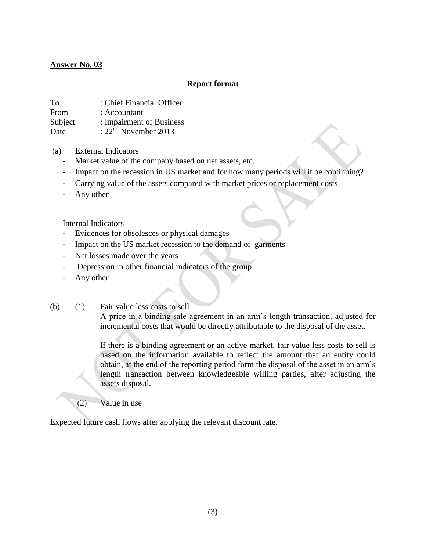### **Report format**

To : Chief Financial Officer

From : Accountant

Subject : Impairment of Business

Date  $: 22<sup>nd</sup>$  November 2013

- (a) External Indicators
	- Market value of the company based on net assets, etc.
	- Impact on the recession in US market and for how many periods will it be continuing?
	- Carrying value of the assets compared with market prices or replacement costs
	- Any other

Internal Indicators

- Evidences for obsolesces or physical damages
- Impact on the US market recession to the demand of garments
- Net losses made over the years
- Depression in other financial indicators of the group
- Any other
- (b) (1) Fair value less costs to sell

A price in a binding sale agreement in an arm's length transaction, adjusted for incremental costs that would be directly attributable to the disposal of the asset.

If there is a binding agreement or an active market, fair value less costs to sell is based on the information available to reflect the amount that an entity could obtain, at the end of the reporting period form the disposal of the asset in an arm's length transaction between knowledgeable willing parties, after adjusting the assets disposal.

 $(2)$  — Value in use

Expected future cash flows after applying the relevant discount rate.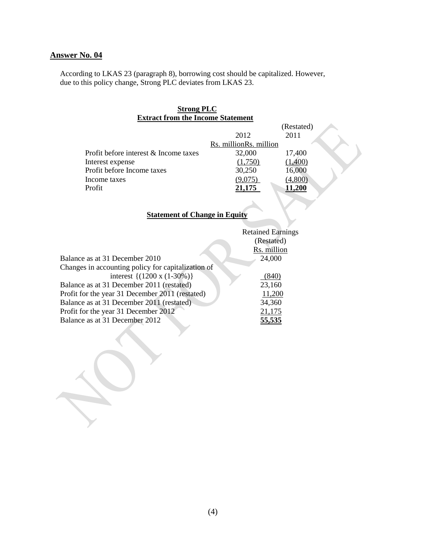According to LKAS 23 (paragraph 8), borrowing cost should be capitalized. However, due to this policy change, Strong PLC deviates from LKAS 23.

# **Strong PLC Extract from the Income Statement**

|                                       |                        | (Restated)    |  |
|---------------------------------------|------------------------|---------------|--|
|                                       | 2012                   | 2011          |  |
|                                       | Rs. millionRs. million |               |  |
| Profit before interest & Income taxes | 32,000                 | 17,400        |  |
| Interest expense                      | (1,750)                | (1,400)       |  |
| Profit before Income taxes            | 30,250                 | 16,000        |  |
| Income taxes                          | (9,075)                | (4,800)       |  |
| Profit                                | 21,175                 | <b>11,200</b> |  |
|                                       |                        |               |  |

# **Statement of Change in Equity**

|                                                    | <b>Retained Earnings</b> |
|----------------------------------------------------|--------------------------|
|                                                    | (Restated)               |
|                                                    | Rs. million              |
| Balance as at 31 December 2010                     | 24,000                   |
| Changes in accounting policy for capitalization of |                          |
| interest $\{(1200 \times (1-30\%) \}$              | (840)                    |
| Balance as at 31 December 2011 (restated)          | 23,160                   |
| Profit for the year 31 December 2011 (restated)    | 11,200                   |
| Balance as at 31 December 2011 (restated)          | 34,360                   |
| Profit for the year 31 December 2012               | 21,175                   |
| Balance as at 31 December 2012                     | 55,535                   |
|                                                    |                          |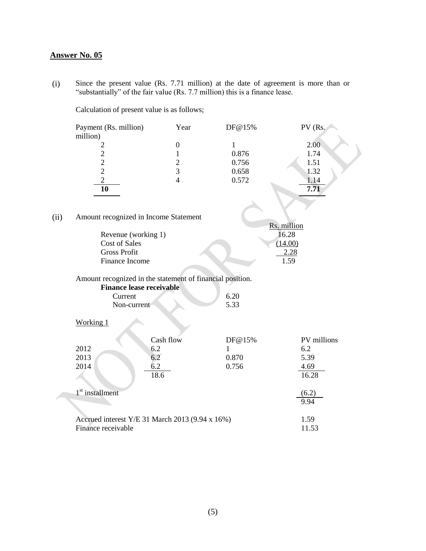(i) Since the present value (Rs. 7.71 million) at the date of agreement is more than or "substantially" of the fair value (Rs. 7.7 million) this is a finance lease.

Calculation of present value is as follows;

|      | Payment (Rs. million)<br>million)                                                            | Year             | DF@15%       | PV (Rs.              |
|------|----------------------------------------------------------------------------------------------|------------------|--------------|----------------------|
|      | $\overline{c}$                                                                               | $\boldsymbol{0}$ | $\mathbf{1}$ | 2.00                 |
|      |                                                                                              | $\mathbf{1}$     | 0.876        | 1.74                 |
|      | $\begin{array}{c} 2 \\ 2 \\ 2 \end{array}$                                                   | $\overline{c}$   | 0.756        | 1.51                 |
|      |                                                                                              | $\overline{3}$   | 0.658        | 1.32                 |
|      | $\overline{c}$                                                                               | $\overline{4}$   | 0.572        | 1.14                 |
|      | 10                                                                                           |                  |              | 7.71                 |
|      |                                                                                              |                  |              |                      |
|      |                                                                                              |                  |              |                      |
| (ii) | Amount recognized in Income Statement                                                        |                  |              |                      |
|      | Revenue (working 1)                                                                          |                  |              | Rs. million<br>16.28 |
|      | <b>Cost of Sales</b>                                                                         |                  |              | (14.00)              |
|      | <b>Gross Profit</b>                                                                          |                  |              | 2.28                 |
|      | Finance Income                                                                               |                  |              | 1.59                 |
|      |                                                                                              |                  |              |                      |
|      |                                                                                              |                  |              |                      |
|      | Amount recognized in the statement of financial position.<br><b>Finance lease receivable</b> |                  |              |                      |
|      | Current                                                                                      |                  | 6.20         |                      |
|      | Non-current                                                                                  |                  | 5.33         |                      |
|      |                                                                                              |                  |              |                      |
|      | Working 1                                                                                    |                  |              |                      |
|      |                                                                                              | Cash flow        | DF@15%       | PV millions          |
|      | 2012                                                                                         | 6.2              | $\mathbf{1}$ | 6.2                  |
|      | 2013                                                                                         | 6.2              | 0.870        | 5.39                 |
|      | 2014                                                                                         | 6.2              | 0.756        | 4.69                 |
|      |                                                                                              | 18.6             |              | 16.28                |
|      |                                                                                              |                  |              |                      |
|      | 1 <sup>st</sup> installment                                                                  |                  |              | (6.2)                |
|      |                                                                                              |                  |              | 9.94                 |
|      |                                                                                              |                  |              |                      |
|      | Accrued interest Y/E 31 March 2013 (9.94 x 16%)                                              |                  |              | 1.59                 |
|      | Finance receivable                                                                           |                  |              | 11.53                |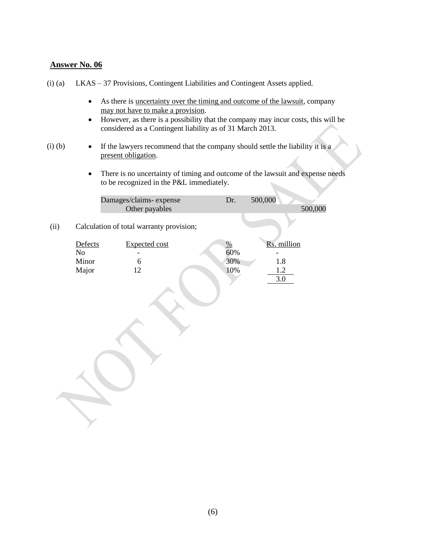- (i) (a) LKAS 37 Provisions, Contingent Liabilities and Contingent Assets applied.
	- As there is <u>uncertainty over the timing and outcome of the lawsuit</u>, company may not have to make a provision.
	- However, as there is a possibility that the company may incur costs, this will be considered as a Contingent liability as of 31 March 2013.
- (i) (b) If the lawyers recommend that the company should settle the liability it is a present obligation.
	- There is no uncertainty of timing and outcome of the lawsuit and expense needs to be recognized in the P&L immediately.

| Damages/claims-expense | 500,000 |         |
|------------------------|---------|---------|
| Other payables         |         | 500,000 |
|                        |         |         |

(ii) Calculation of total warranty provision;

| Defects | <b>Expected cost</b> | %   | Rs. million |
|---------|----------------------|-----|-------------|
| No      |                      | 60% |             |
| Minor   |                      | 30% | 1.8         |
| Major   | ∩                    | 10% | $\bigcap$   |
|         |                      |     |             |